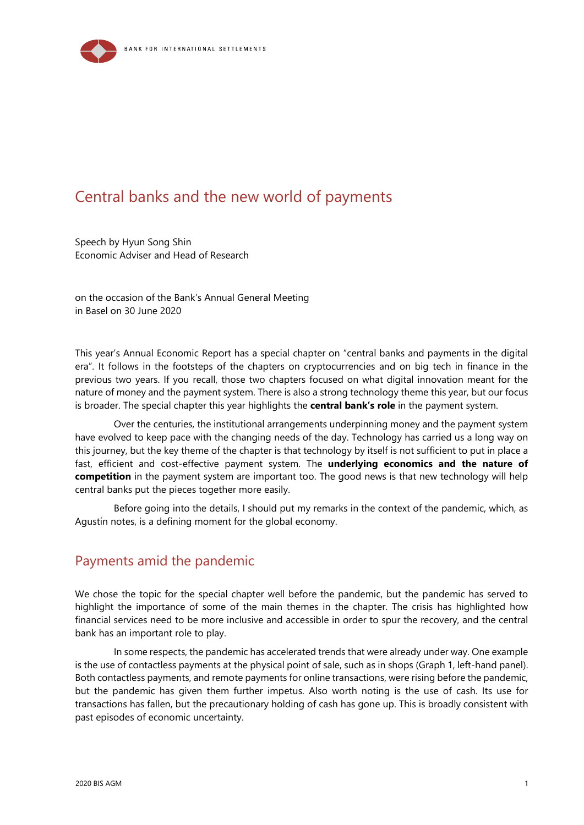

# Central banks and the new world of payments

Speech by Hyun Song Shin Economic Adviser and Head of Research

on the occasion of the Bank's Annual General Meeting in Basel on 30 June 2020

This year's Annual Economic Report has a special chapter on "central banks and payments in the digital era". It follows in the footsteps of the chapters on cryptocurrencies and on big tech in finance in the previous two years. If you recall, those two chapters focused on what digital innovation meant for the nature of money and the payment system. There is also a strong technology theme this year, but our focus is broader. The special chapter this year highlights the **central bank's role** in the payment system.

Over the centuries, the institutional arrangements underpinning money and the payment system have evolved to keep pace with the changing needs of the day. Technology has carried us a long way on this journey, but the key theme of the chapter is that technology by itself is not sufficient to put in place a fast, efficient and cost-effective payment system. The **underlying economics and the nature of competition** in the payment system are important too. The good news is that new technology will help central banks put the pieces together more easily.

Before going into the details, I should put my remarks in the context of the pandemic, which, as Agustín notes, is a defining moment for the global economy.

## Payments amid the pandemic

We chose the topic for the special chapter well before the pandemic, but the pandemic has served to highlight the importance of some of the main themes in the chapter. The crisis has highlighted how financial services need to be more inclusive and accessible in order to spur the recovery, and the central bank has an important role to play.

In some respects, the pandemic has accelerated trends that were already under way. One example is the use of contactless payments at the physical point of sale, such as in shops (Graph 1, left-hand panel). Both contactless payments, and remote payments for online transactions, were rising before the pandemic, but the pandemic has given them further impetus. Also worth noting is the use of cash. Its use for transactions has fallen, but the precautionary holding of cash has gone up. This is broadly consistent with past episodes of economic uncertainty.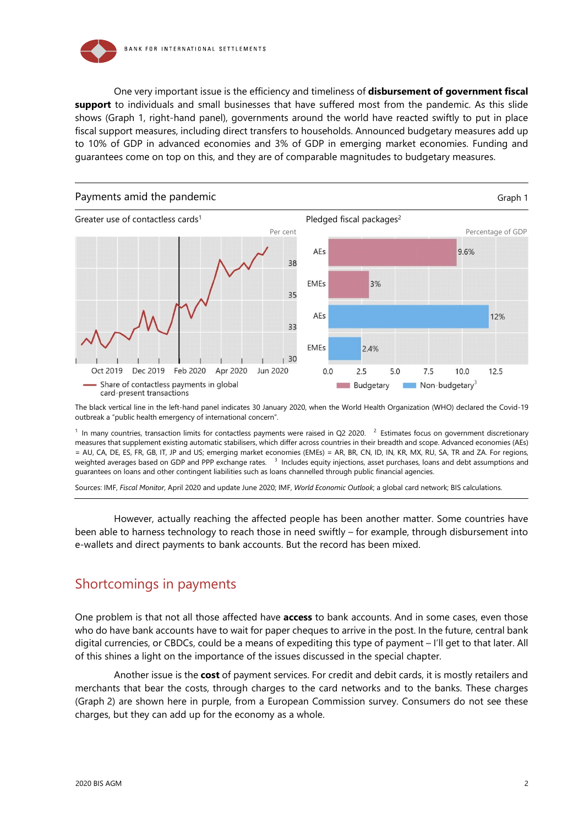

One very important issue is the efficiency and timeliness of **disbursement of government fiscal support** to individuals and small businesses that have suffered most from the pandemic. As this slide shows (Graph 1, right-hand panel), governments around the world have reacted swiftly to put in place fiscal support measures, including direct transfers to households. Announced budgetary measures add up to 10% of GDP in advanced economies and 3% of GDP in emerging market economies. Funding and guarantees come on top on this, and they are of comparable magnitudes to budgetary measures.



The black vertical line in the left-hand panel indicates 30 January 2020, when the World Health Organization (WHO) declared the Covid-19 outbreak a "public health emergency of international concern".

 $1$  In many countries, transaction limits for contactless payments were raised in Q2 2020.  $2$  Estimates focus on government discretionary measures that supplement existing automatic stabilisers, which differ across countries in their breadth and scope. Advanced economies (AEs) = AU, CA, DE, ES, FR, GB, IT, JP and US; emerging market economies (EMEs) = AR, BR, CN, ID, IN, KR, MX, RU, SA, TR and ZA. For regions, weighted averages based on GDP and PPP exchange rates. <sup>3</sup> Includes equity injections, asset purchases, loans and debt assumptions and guarantees on loans and other contingent liabilities such as loans channelled through public financial agencies.

Sources: IMF, *Fiscal Monitor*, April 2020 and update June 2020; IMF, *World Economic Outlook*; a global card network; BIS calculations.

However, actually reaching the affected people has been another matter. Some countries have been able to harness technology to reach those in need swiftly – for example, through disbursement into e-wallets and direct payments to bank accounts. But the record has been mixed.

## Shortcomings in payments

One problem is that not all those affected have **access** to bank accounts. And in some cases, even those who do have bank accounts have to wait for paper cheques to arrive in the post. In the future, central bank digital currencies, or CBDCs, could be a means of expediting this type of payment – I'll get to that later. All of this shines a light on the importance of the issues discussed in the special chapter.

Another issue is the **cost** of payment services. For credit and debit cards, it is mostly retailers and merchants that bear the costs, through charges to the card networks and to the banks. These charges (Graph 2) are shown here in purple, from a European Commission survey. Consumers do not see these charges, but they can add up for the economy as a whole.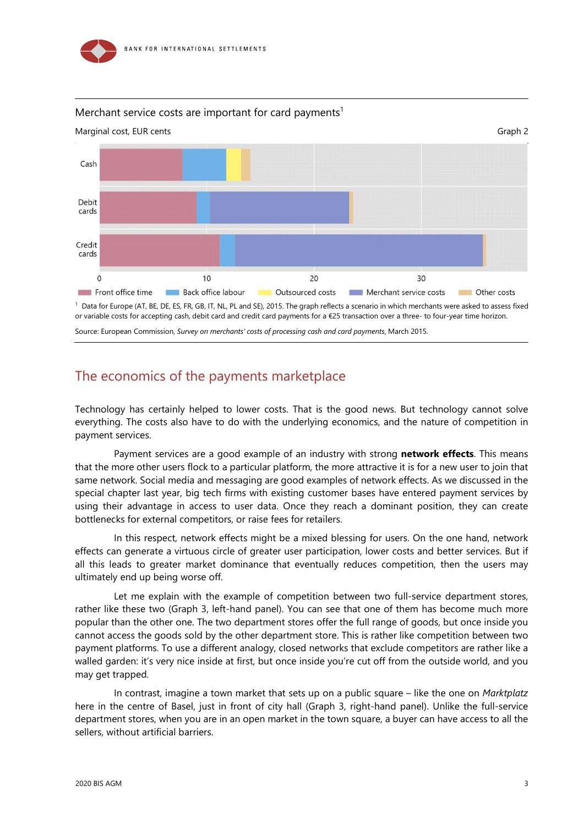

### Merchant service costs are important for card payments<sup>1</sup>



or variable costs for accepting cash, debit card and credit card payments for a €25 transaction over a three- to four-year time horizon.

Source: European Commission, *Survey on merchants' costs of processing cash and card payments*, March 2015.

## The economics of the payments marketplace

Technology has certainly helped to lower costs. That is the good news. But technology cannot solve everything. The costs also have to do with the underlying economics, and the nature of competition in payment services.

Payment services are a good example of an industry with strong **network effects**. This means that the more other users flock to a particular platform, the more attractive it is for a new user to join that same network. Social media and messaging are good examples of network effects. As we discussed in the special chapter last year, big tech firms with existing customer bases have entered payment services by using their advantage in access to user data. Once they reach a dominant position, they can create bottlenecks for external competitors, or raise fees for retailers.

In this respect, network effects might be a mixed blessing for users. On the one hand, network effects can generate a virtuous circle of greater user participation, lower costs and better services. But if all this leads to greater market dominance that eventually reduces competition, then the users may ultimately end up being worse off.

Let me explain with the example of competition between two full-service department stores, rather like these two (Graph 3, left-hand panel). You can see that one of them has become much more popular than the other one. The two department stores offer the full range of goods, but once inside you cannot access the goods sold by the other department store. This is rather like competition between two payment platforms. To use a different analogy, closed networks that exclude competitors are rather like a walled garden: it's very nice inside at first, but once inside you're cut off from the outside world, and you may get trapped.

In contrast, imagine a town market that sets up on a public square – like the one on *Marktplatz* here in the centre of Basel, just in front of city hall (Graph 3, right-hand panel). Unlike the full-service department stores, when you are in an open market in the town square, a buyer can have access to all the sellers, without artificial barriers.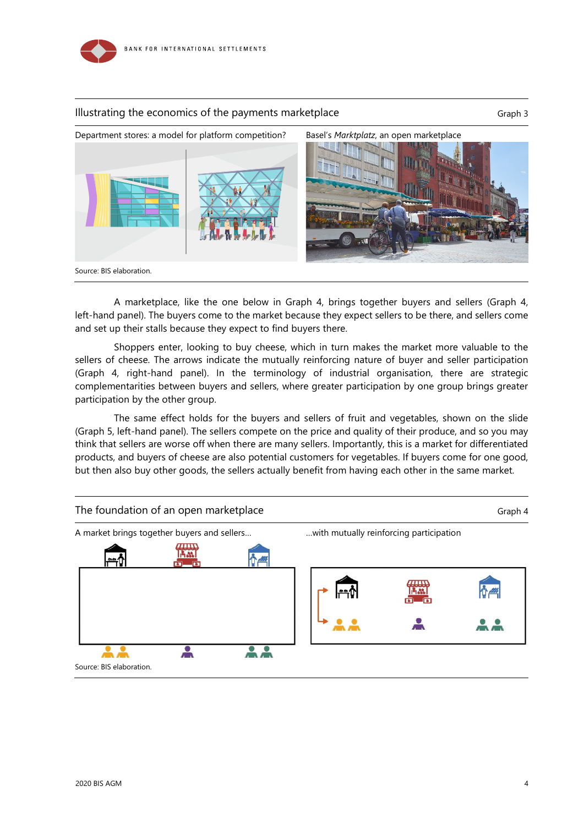

### Illustrating the economics of the payments marketplace Graph 3



A marketplace, like the one below in Graph 4, brings together buyers and sellers (Graph 4, left-hand panel). The buyers come to the market because they expect sellers to be there, and sellers come and set up their stalls because they expect to find buyers there.

Shoppers enter, looking to buy cheese, which in turn makes the market more valuable to the sellers of cheese. The arrows indicate the mutually reinforcing nature of buyer and seller participation (Graph 4, right-hand panel). In the terminology of industrial organisation, there are strategic complementarities between buyers and sellers, where greater participation by one group brings greater participation by the other group.

The same effect holds for the buyers and sellers of fruit and vegetables, shown on the slide (Graph 5, left-hand panel). The sellers compete on the price and quality of their produce, and so you may think that sellers are worse off when there are many sellers. Importantly, this is a market for differentiated products, and buyers of cheese are also potential customers for vegetables. If buyers come for one good, but then also buy other goods, the sellers actually benefit from having each other in the same market.

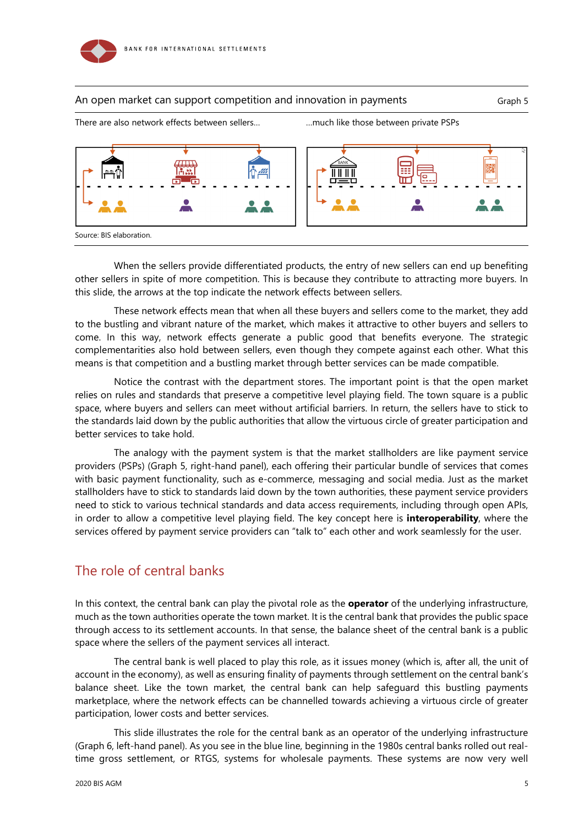

### An open market can support competition and innovation in payments Graph 5



When the sellers provide differentiated products, the entry of new sellers can end up benefiting other sellers in spite of more competition. This is because they contribute to attracting more buyers. In this slide, the arrows at the top indicate the network effects between sellers.

These network effects mean that when all these buyers and sellers come to the market, they add to the bustling and vibrant nature of the market, which makes it attractive to other buyers and sellers to come. In this way, network effects generate a public good that benefits everyone. The strategic complementarities also hold between sellers, even though they compete against each other. What this means is that competition and a bustling market through better services can be made compatible.

Notice the contrast with the department stores. The important point is that the open market relies on rules and standards that preserve a competitive level playing field. The town square is a public space, where buyers and sellers can meet without artificial barriers. In return, the sellers have to stick to the standards laid down by the public authorities that allow the virtuous circle of greater participation and better services to take hold.

The analogy with the payment system is that the market stallholders are like payment service providers (PSPs) (Graph 5, right-hand panel), each offering their particular bundle of services that comes with basic payment functionality, such as e-commerce, messaging and social media. Just as the market stallholders have to stick to standards laid down by the town authorities, these payment service providers need to stick to various technical standards and data access requirements, including through open APIs, in order to allow a competitive level playing field. The key concept here is **interoperability**, where the services offered by payment service providers can "talk to" each other and work seamlessly for the user.

# The role of central banks

In this context, the central bank can play the pivotal role as the **operator** of the underlying infrastructure, much as the town authorities operate the town market. It is the central bank that provides the public space through access to its settlement accounts. In that sense, the balance sheet of the central bank is a public space where the sellers of the payment services all interact.

The central bank is well placed to play this role, as it issues money (which is, after all, the unit of account in the economy), as well as ensuring finality of payments through settlement on the central bank's balance sheet. Like the town market, the central bank can help safeguard this bustling payments marketplace, where the network effects can be channelled towards achieving a virtuous circle of greater participation, lower costs and better services.

This slide illustrates the role for the central bank as an operator of the underlying infrastructure (Graph 6, left-hand panel). As you see in the blue line, beginning in the 1980s central banks rolled out realtime gross settlement, or RTGS, systems for wholesale payments. These systems are now very well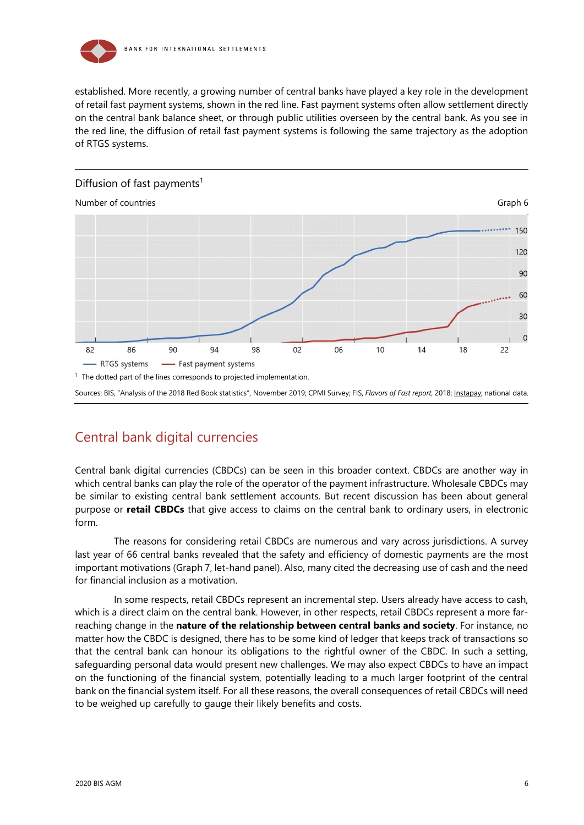

established. More recently, a growing number of central banks have played a key role in the development of retail fast payment systems, shown in the red line. Fast payment systems often allow settlement directly on the central bank balance sheet, or through public utilities overseen by the central bank. As you see in the red line, the diffusion of retail fast payment systems is following the same trajectory as the adoption of RTGS systems.



# Central bank digital currencies

Central bank digital currencies (CBDCs) can be seen in this broader context. CBDCs are another way in which central banks can play the role of the operator of the payment infrastructure. Wholesale CBDCs may be similar to existing central bank settlement accounts. But recent discussion has been about general purpose or **retail CBDCs** that give access to claims on the central bank to ordinary users, in electronic form.

The reasons for considering retail CBDCs are numerous and vary across jurisdictions. A survey last year of 66 central banks revealed that the safety and efficiency of domestic payments are the most important motivations (Graph 7, let-hand panel). Also, many cited the decreasing use of cash and the need for financial inclusion as a motivation.

In some respects, retail CBDCs represent an incremental step. Users already have access to cash, which is a direct claim on the central bank. However, in other respects, retail CBDCs represent a more farreaching change in the **nature of the relationship between central banks and society**. For instance, no matter how the CBDC is designed, there has to be some kind of ledger that keeps track of transactions so that the central bank can honour its obligations to the rightful owner of the CBDC. In such a setting, safeguarding personal data would present new challenges. We may also expect CBDCs to have an impact on the functioning of the financial system, potentially leading to a much larger footprint of the central bank on the financial system itself. For all these reasons, the overall consequences of retail CBDCs will need to be weighed up carefully to gauge their likely benefits and costs.